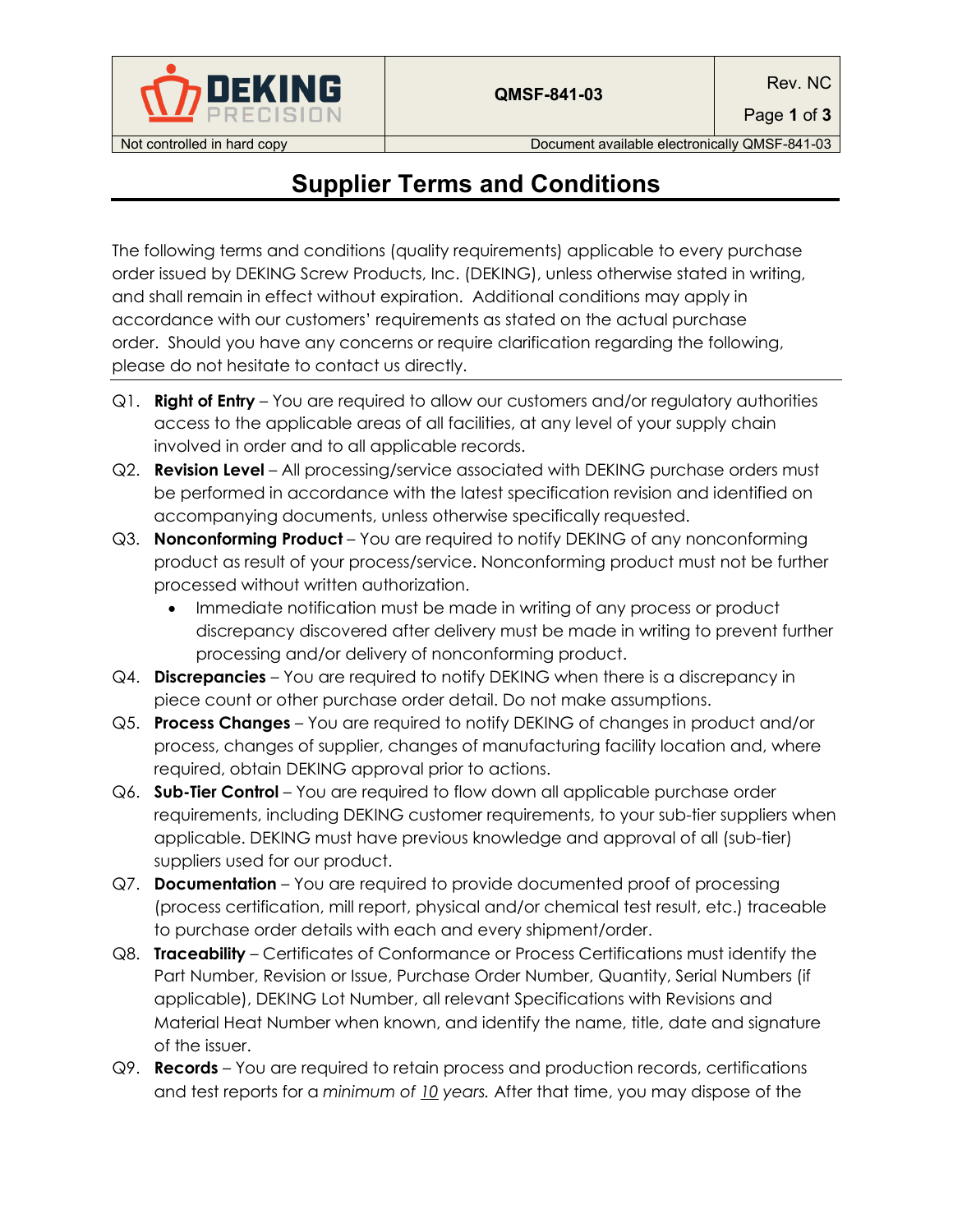

Page **1** of **3**

Not controlled in hard copy **Document available electronically QMSF-841-03** 

## **Supplier Terms and Conditions**

The following terms and conditions (quality requirements) applicable to every purchase order issued by DEKING Screw Products, Inc. (DEKING), unless otherwise stated in writing, and shall remain in effect without expiration. Additional conditions may apply in accordance with our customers' requirements as stated on the actual purchase order. Should you have any concerns or require clarification regarding the following, please do not hesitate to contact us directly.

- Q1. **Right of Entry** You are required to allow our customers and/or regulatory authorities access to the applicable areas of all facilities, at any level of your supply chain involved in order and to all applicable records.
- Q2. **Revision Level** All processing/service associated with DEKING purchase orders must be performed in accordance with the latest specification revision and identified on accompanying documents, unless otherwise specifically requested.
- Q3. **Nonconforming Product** You are required to notify DEKING of any nonconforming product as result of your process/service. Nonconforming product must not be further processed without written authorization.
	- Immediate notification must be made in writing of any process or product discrepancy discovered after delivery must be made in writing to prevent further processing and/or delivery of nonconforming product.
- Q4. **Discrepancies** You are required to notify DEKING when there is a discrepancy in piece count or other purchase order detail. Do not make assumptions.
- Q5. **Process Changes** You are required to notify DEKING of changes in product and/or process, changes of supplier, changes of manufacturing facility location and, where required, obtain DEKING approval prior to actions.
- Q6. **Sub-Tier Control** You are required to flow down all applicable purchase order requirements, including DEKING customer requirements, to your sub-tier suppliers when applicable. DEKING must have previous knowledge and approval of all (sub-tier) suppliers used for our product.
- Q7. **Documentation** You are required to provide documented proof of processing (process certification, mill report, physical and/or chemical test result, etc.) traceable to purchase order details with each and every shipment/order.
- Q8. **Traceability** Certificates of Conformance or Process Certifications must identify the Part Number, Revision or Issue, Purchase Order Number, Quantity, Serial Numbers (if applicable), DEKING Lot Number, all relevant Specifications with Revisions and Material Heat Number when known, and identify the name, title, date and signature of the issuer.
- Q9. **Records** You are required to retain process and production records, certifications and test reports for a *minimum of 10 years.* After that time, you may dispose of the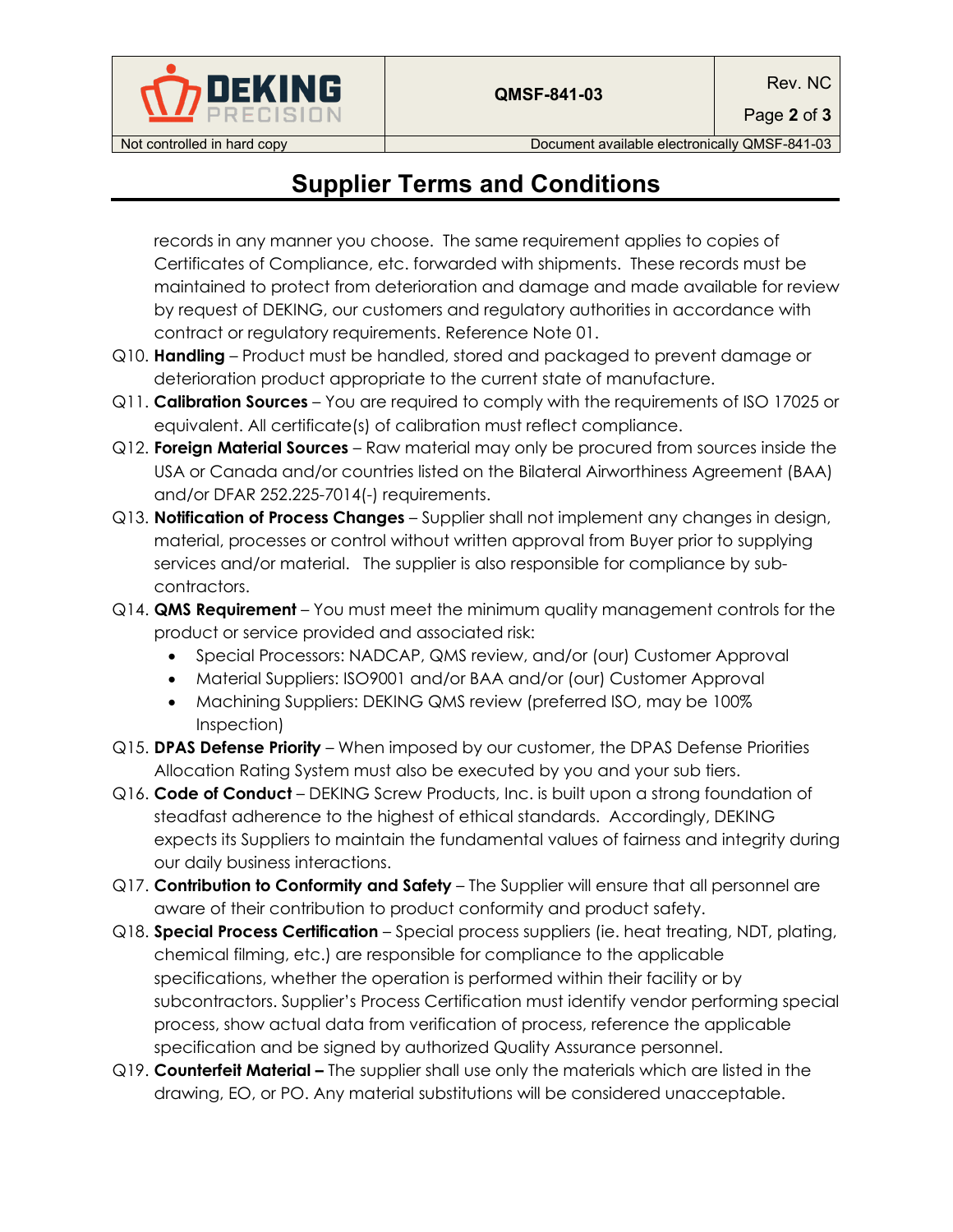

Page **2** of **3**

Not controlled in hard copy **Document available electronically QMSF-841-03** 

## **Supplier Terms and Conditions**

records in any manner you choose. The same requirement applies to copies of Certificates of Compliance, etc. forwarded with shipments. These records must be maintained to protect from deterioration and damage and made available for review by request of DEKING, our customers and regulatory authorities in accordance with contract or regulatory requirements. Reference Note 01.

- Q10. **Handling** Product must be handled, stored and packaged to prevent damage or deterioration product appropriate to the current state of manufacture.
- Q11. **Calibration Sources** You are required to comply with the requirements of ISO 17025 or equivalent. All certificate(s) of calibration must reflect compliance.
- Q12. **Foreign Material Sources** Raw material may only be procured from sources inside the USA or Canada and/or countries listed on the Bilateral Airworthiness Agreement (BAA) and/or DFAR 252.225-7014(-) requirements.
- Q13. **Notification of Process Changes** Supplier shall not implement any changes in design, material, processes or control without written approval from Buyer prior to supplying services and/or material. The supplier is also responsible for compliance by subcontractors.
- Q14. **QMS Requirement** You must meet the minimum quality management controls for the product or service provided and associated risk:
	- Special Processors: NADCAP, QMS review, and/or (our) Customer Approval
	- Material Suppliers: ISO9001 and/or BAA and/or (our) Customer Approval
	- Machining Suppliers: DEKING QMS review (preferred ISO, may be 100%) Inspection)
- Q15. **DPAS Defense Priority** When imposed by our customer, the DPAS Defense Priorities Allocation Rating System must also be executed by you and your sub tiers.
- Q16. **Code of Conduct** DEKING Screw Products, Inc. is built upon a strong foundation of steadfast adherence to the highest of ethical standards. Accordingly, DEKING expects its Suppliers to maintain the fundamental values of fairness and integrity during our daily business interactions.
- Q17. **Contribution to Conformity and Safety** The Supplier will ensure that all personnel are aware of their contribution to product conformity and product safety.
- Q18. **Special Process Certification** Special process suppliers (ie. heat treating, NDT, plating, chemical filming, etc.) are responsible for compliance to the applicable specifications, whether the operation is performed within their facility or by subcontractors. Supplier's Process Certification must identify vendor performing special process, show actual data from verification of process, reference the applicable specification and be signed by authorized Quality Assurance personnel.
- Q19. **Counterfeit Material –** The supplier shall use only the materials which are listed in the drawing, EO, or PO. Any material substitutions will be considered unacceptable.